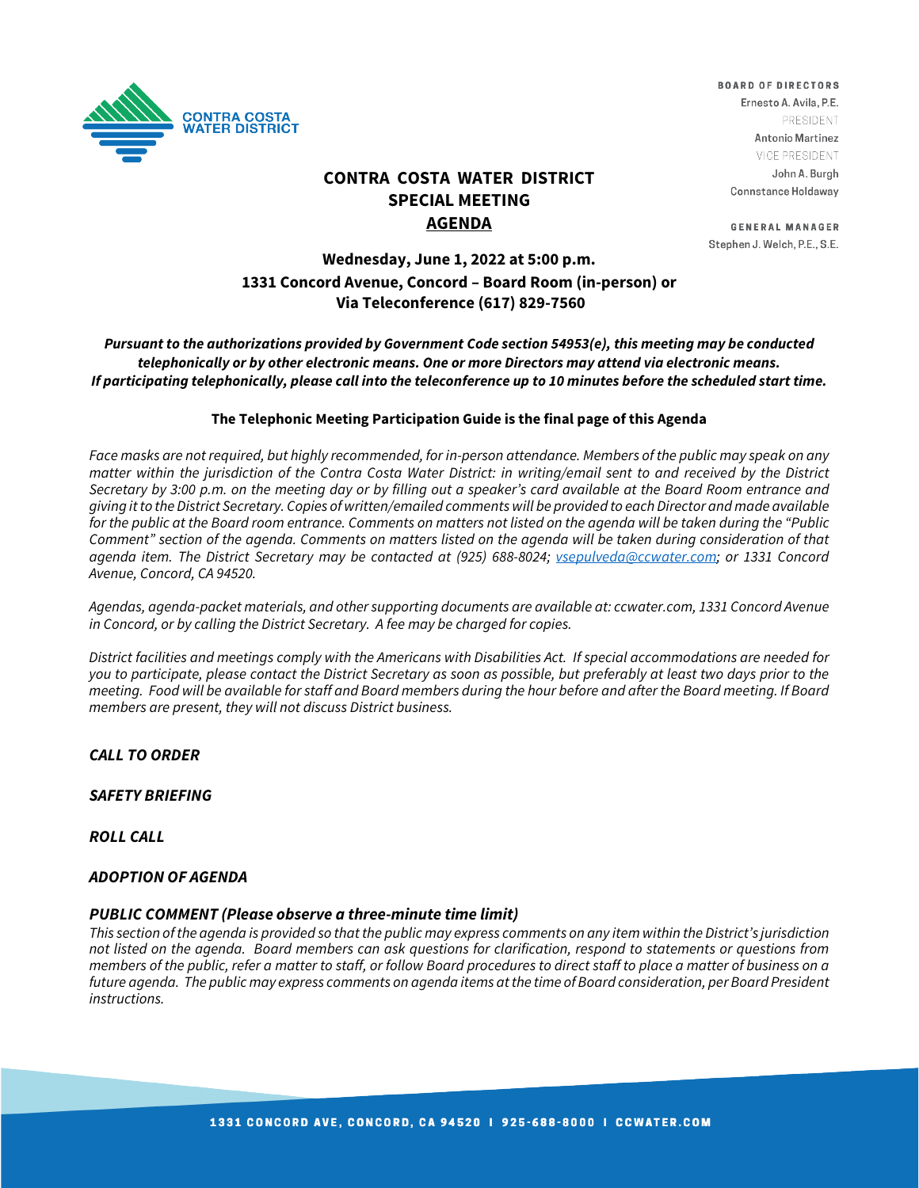

# **CONTRA COSTA WATER DISTRICT SPECIAL MEETING AGENDA**

**BOARD OF DIRECTORS** Ernesto A. Avila, P.E. PRESIDENT **Antonio Martinez** VICE PRESIDENT John A. Burgh Connstance Holdaway

**GENERAL MANAGER** Stephen J. Welch, P.E., S.E.

# **Wednesday, June 1, 2022 at 5:00 p.m. 1331 Concord Avenue, Concord – Board Room (in-person) or Via Teleconference (617) 829-7560**

*Pursuant to the authorizations provided by Government Code section 54953(e), this meeting may be conducted telephonically or by other electronic means. One or more Directors may attend via electronic means. If participating telephonically, please call into the teleconference up to 10 minutes before the scheduled start time.* 

#### **The Telephonic Meeting Participation Guide is the final page of this Agenda**

*Face masks are not required, but highly recommended, for in-person attendance. Members of the public may speak on any matter within the jurisdiction of the Contra Costa Water District: in writing/email sent to and received by the District Secretary by 3:00 p.m. on the meeting day or by filling out a speaker's card available at the Board Room entrance and giving it to the District Secretary. Copies of written/emailed comments will be provided to each Director and made available for the public at the Board room entrance. Comments on matters not listed on the agenda will be taken during the "Public*  Comment" section of the agenda. Comments on matters listed on the agenda will be taken during consideration of that *agenda item. The District Secretary may be contacted at (925) 688-8024; [vsepulveda@ccwater.com;](mailto:vsepulveda@ccwater.com) or 1331 Concord Avenue, Concord, CA 94520.*

*Agendas, agenda-packet materials, and other supporting documents are available at: ccwater.com, 1331 Concord Avenue in Concord, or by calling the District Secretary. A fee may be charged for copies.* 

*District facilities and meetings comply with the Americans with Disabilities Act. If special accommodations are needed for you to participate, please contact the District Secretary as soon as possible, but preferably at least two days prior to the meeting. Food will be available for staff and Board members during the hour before and after the Board meeting. If Board members are present, they will not discuss District business.*

### *CALL TO ORDER*

*SAFETY BRIEFING*

*ROLL CALL*

#### *ADOPTION OF AGENDA*

#### *PUBLIC COMMENT (Please observe a three-minute time limit)*

*This section of the agenda is provided so that the public may express comments on any item within the District's jurisdiction not listed on the agenda. Board members can ask questions for clarification, respond to statements or questions from members of the public, refer a matter to staff, or follow Board procedures to direct staff to place a matter of business on a* future agenda. The public may express comments on agenda items at the time of Board consideration, per Board President *instructions.*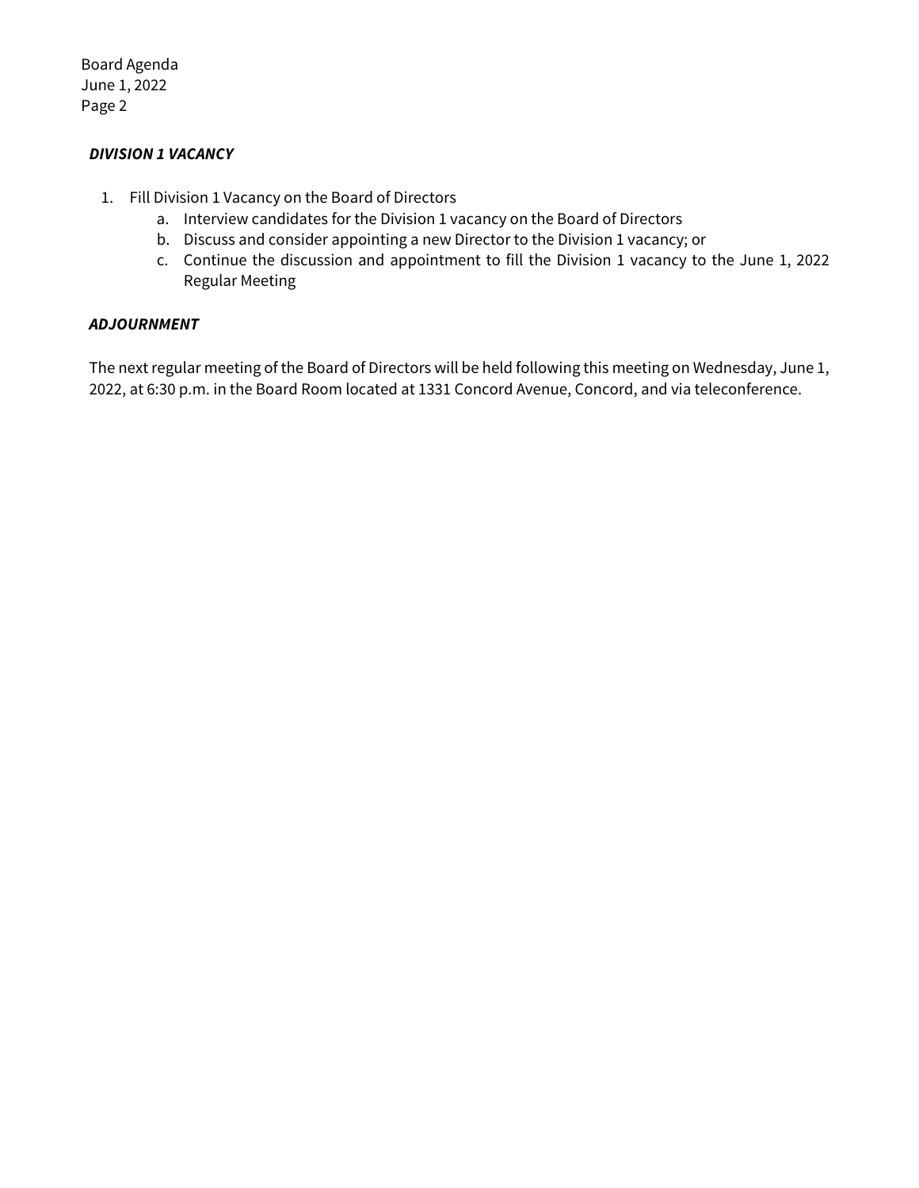Board Agenda June 1, 2022 Page 2

## *DIVISION 1 VACANCY*

- 1. Fill Division 1 Vacancy on the Board of Directors
	- a. Interview candidates for the Division 1 vacancy on the Board of Directors
	- b. Discuss and consider appointing a new Director to the Division 1 vacancy; or
	- c. Continue the discussion and appointment to fill the Division 1 vacancy to the June 1, 2022 Regular Meeting

## *ADJOURNMENT*

The next regular meeting of the Board of Directors will be held following this meeting on Wednesday, June 1, 2022, at 6:30 p.m. in the Board Room located at 1331 Concord Avenue, Concord, and via teleconference.